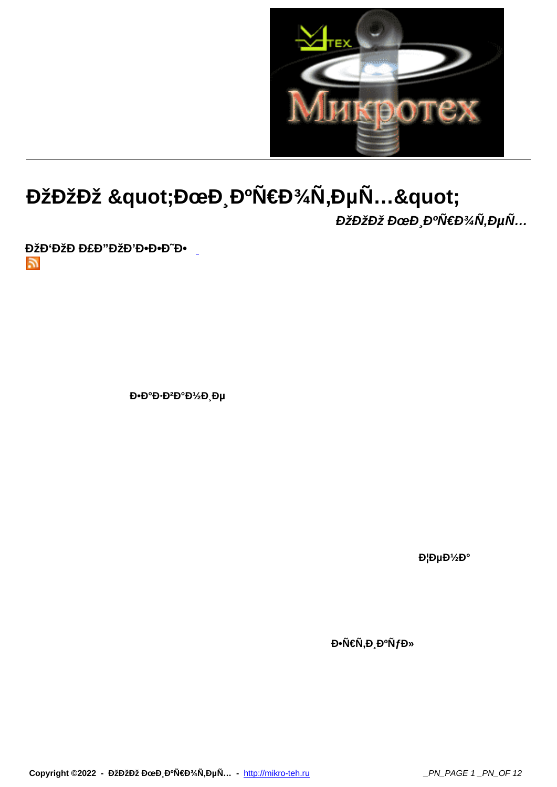

## ООĐž "ĐœĐ Đ°Ñ€Đ¾Ñ,еÑ..."

ООĐž ĐœĐ ĐºÑ€Đ¾Ñ,еÑ...

ĐŽĐ'ĐŽĐ Đ£Đ"ĐŽĐ'Đ.Đ.Đ"Đ.  $\mathbb{Z}$ 

D.D°D.D<sup>2</sup>D°D1/2D Du

DIDµD<sup>1</sup>/<sub>2</sub>D°

Đ•Ñ€Ñ,Đ ĐºÑfĐ»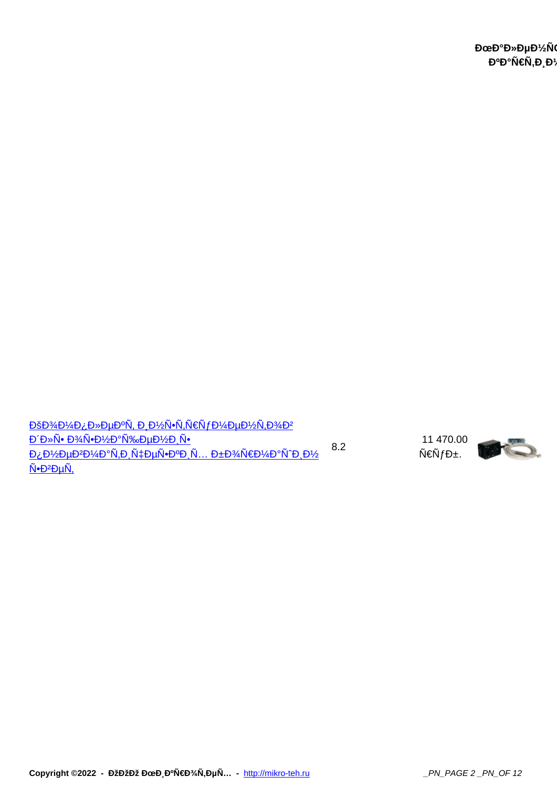<u>ĐšĐ¾Đ¼Đ¿Đ»ĐµĐºÑ, иĐ½Ñ∙Ñ,руĐ¼ĐµĐ½Ñ,Đ¾Đª</u> **<u>ĐΈ»Ñ• Đ¾Ñ•Đ½Đ°Ñ‰ĐµĐ½Đ,Ñ•</u>**  $\underline{\mathsf{D}_\mathcal{L}\mathsf{D}_\mathcal{L}\mathsf{D}_\mathcal{L}\mathsf{D}_\mathcal{L}\mathsf{D}_\mathcal{L}\mathsf{D}_\mathcal{L}\mathsf{D}_\mathcal{L}\tilde{\mathsf{N}}_1\mathsf{D}_\mathcal{L}\tilde{\mathsf{N}}_1\mathsf{D}_\mathcal{L}\mathsf{D}_\mathcal{L}\tilde{\mathsf{N}}_1\mathsf{D}_\mathcal{L}\mathsf{D}_\mathcal{L}}\mathsf{D}_\mathcal{L}\mathsf{D}_\mathcal{L}\mathsf{D}_\mathcal{L}\mathsf{D}_\mathcal{L}\mathsf{D}_\$ <u>Ñ•Đ<sup>2</sup>еÑ,</u> 8.2

 11 470.00  $\tilde{N} \in \tilde{N} f D \pm 0$ 

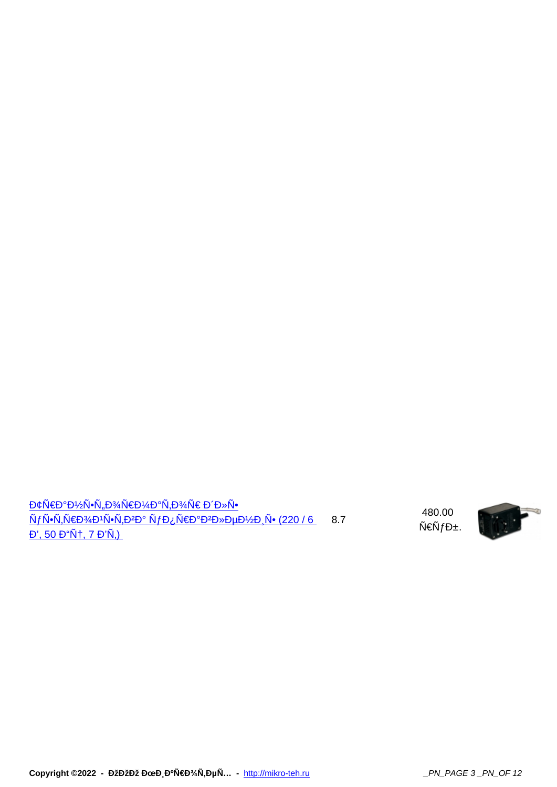<u>Đ¢Ñ€Đ°Đ½Ñ∙Ñ"Đ¾Ñ€Đ¼Đ°Ñ,Đ¾Ñ€ Đ´Đ»Ñ</u>∙ <mark>NƒN∙N,роÐ1N∙N,Ð₽D° NƒÐ¿Ñ€Ð°Ð₽лÐμниÑ• (220 / 6</mark> — 8.7 <u>Đ', 50 Đ"ц, 7 Đ'Ñ,)</u>

 480.00  $N \in \tilde{N} f D \pm 0$ 



Copyright ©2022 - ООĐž ĐœĐ¸ĐºÑ€Đ¾Ñ,еÑ... - http://mikro-teh.ru \_\_\_\_\_\_\_\_\_\_\_\_\_\_\_\_\_\_\_\_\_\_\_\_\_PN\_PAGE 3 \_PN\_OF 12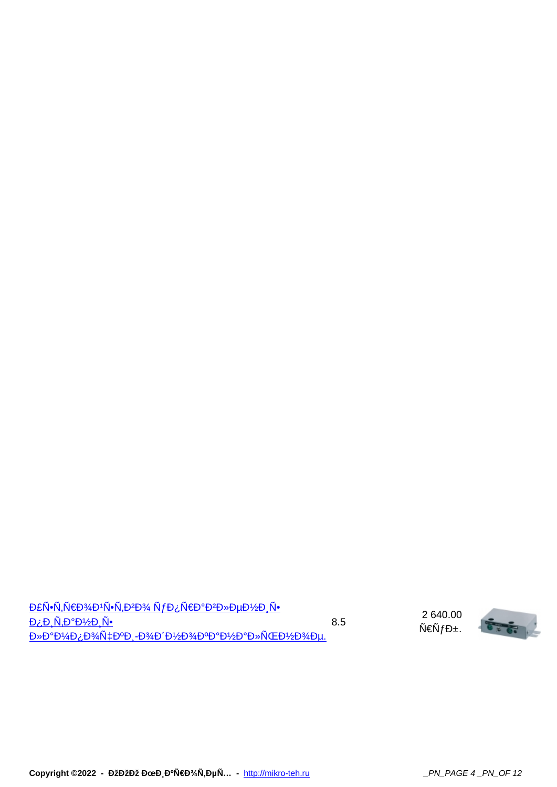| <u>DEÑ.ÑFD¼D'Ñ.ÑPP}4 ÑfD;ÑED°D2D»DuD½D Ñ.</u>                                 |     |
|-------------------------------------------------------------------------------|-----|
| $D_{\lambda}D_{\lambda}N_{\lambda}D^{\circ}D^{\prime}2D_{\lambda}N_{\bullet}$ | 8.5 |
| D»D°D1/4D¿D3/N‡D°D.-D3/D'D1/2D3/D°D°D1/2D°D»NCED1/2D3/Du.                     |     |

 2 640.00 Ñ€Ñ $f$ б.

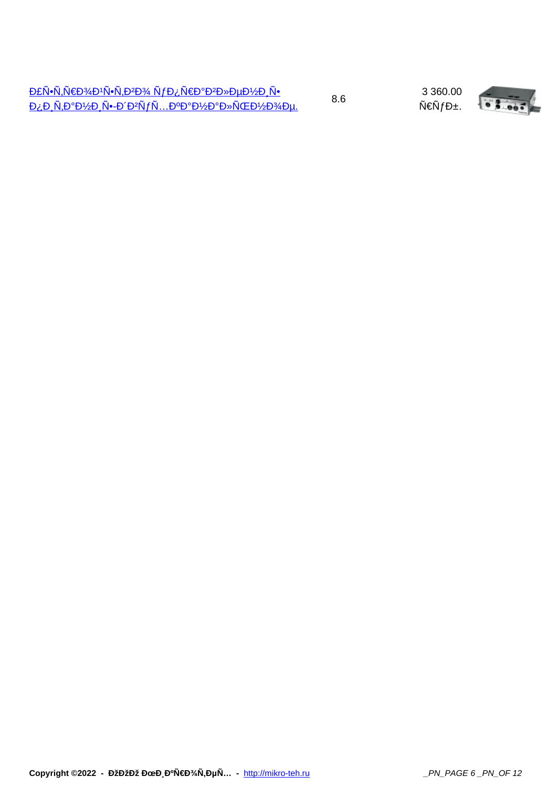3 360.00 Ñ€Ñ $f$ б.

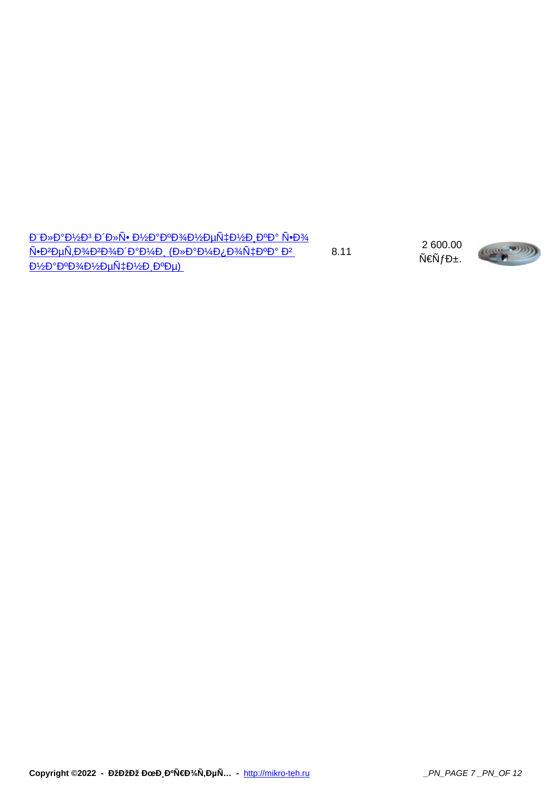$\underline{D^*D^*D^*D^*ZD^3\ D^*D^*N^\bullet\ D\text{?}D^*D^0D\text{?}A D\text{?}D\mu\tilde{N}\text{?}D\text{?}D\text{?}D^0D^{\circ}}\ \tilde{N}^\bullet\text{D\text{?}A}$  $N$ • $D^2D\mu\tilde{N}, D^3\mu\tilde{D}^2D^3\mu\tilde{D}^2D^9\mu\tilde{D}^2$  ( $D^3D^3D^3\mu\tilde{D}^2D^3\mu\tilde{N}^2$ <u>ϷΊ⁄εΡοΦΡλάΡΙ/εΡινήτελο ΡοΡη)</u> 8.11

 2 600.00  $N \in \tilde{N} f D \pm 0$ 



Copyright ©2022 - ООĐž ĐœĐ¸ĐºÑ€Đ¾Ñ,еÑ... - http://mikro-teh.ru \_\_\_\_\_\_\_\_\_\_\_\_\_\_\_\_\_\_\_\_\_\_\_\_\_\_PN\_PAGE 7 \_PN\_OF 12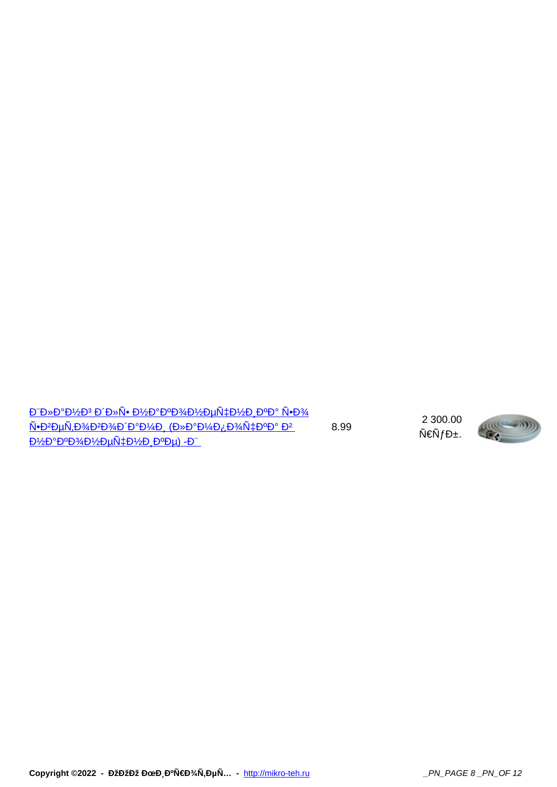$E^*D^*D^*D^*D^*D^*D^*N^*D^*D^*D^*D^*D^*D^*D^*D^*D^*D^*N^*D^*D^*N^*D^*D^*N^*D^*D^*N^*D^*N^*D^*N^*D^*N^*D^*N^*D^*N^*D^*N^*D^*N^*D^*N^*D^*N^*D^*N^*D^*N^*D^*N^*D^*N^*D^*N^*D^*N^*D^*N^*D^*N^*D^*N^*D^*N^*D^*N^*D^*N^*D^*N^*D^*N$ ѕветоводами (лампочка в наконечнике) -Ш 8.99

 2 300.00  $N \in \tilde{N} f D \pm 0$ 

Copyright ©2022 - ООĐž ĐœĐ¸ĐºÑ€Đ¾Ñ,еÑ... - http://mikro-teh.ru \_\_\_\_\_\_\_\_\_\_\_\_\_\_\_\_\_\_\_\_\_\_\_\_\_\_PN\_PAGE 8 \_PN\_OF 12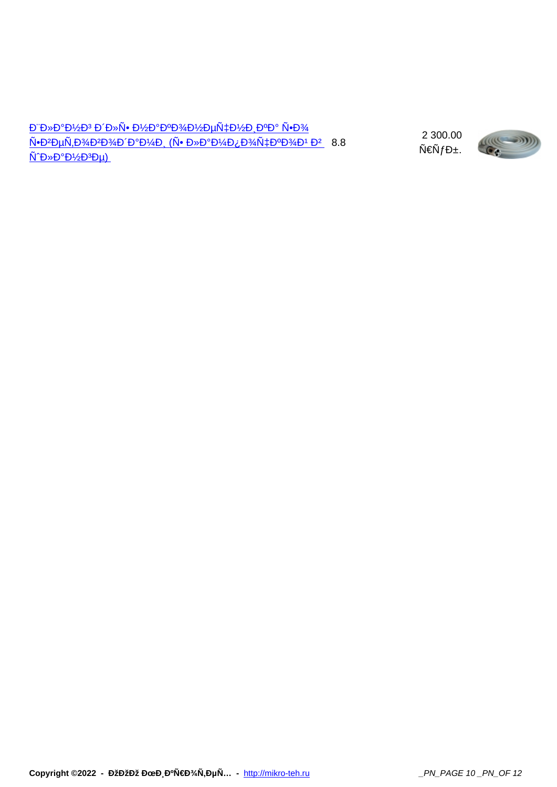<u>Đ"лаĐ½Đ3 Đ'Đ»Ñ• Đ½Đ°ĐºĐ3⁄4Đ½ĐµÑ‡Đ½Đ¸ĐºĐ° Ñ•Đ3⁄4</u> <u>Ñ●Đ²ĐµÑ,Đ¾ĐªĐ¾Ð´Đ°Đ¼Ð, (Ñ● лаĐ¼Ð¿Đ¾Ñ‡ĐºĐ¾Ð1 в \_ 8.8</u>  $N^2D^*D^2D^2D^3D\mu)$ 

 2 300.00  $\tilde{\mathsf{N}} \in \tilde{\mathsf{N}} f \mathsf{D} \pm$ .

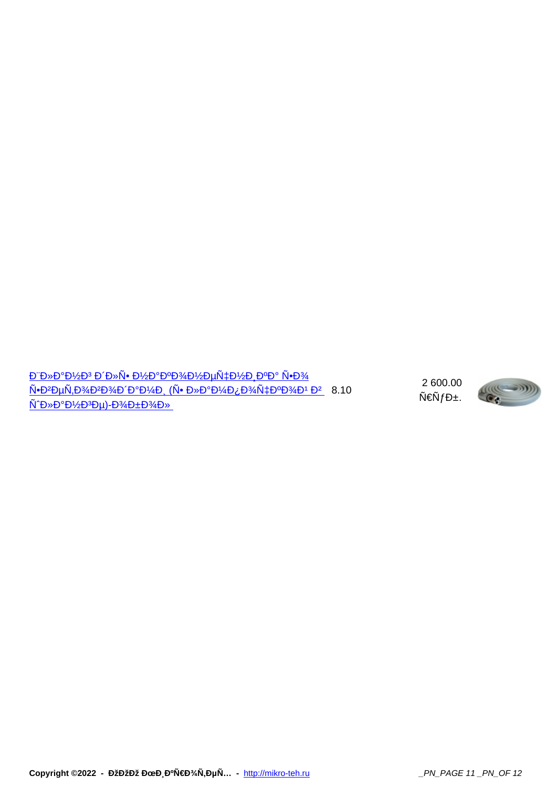$\underline{D^*D^*D^*D^*D^3\ D^*D^*N^{\bullet}\ D^*2D^{\bullet}D^34D^{\prime}\!2D\mu\tilde{N}\sharp D^{\prime}\!2D_{\downarrow}D^{\bullet}\!D^{\bullet}\tilde{N}^{\bullet}\!D^{\prime}\!34}}$ <u>Ñ●Đ<del>?D</del>µÑ,Đ¾Đ?Đ¾Ð´Ð°Đ¼Ð (Ñ● лаĐ¼Ð¿Đ¾Ñ‡ĐºĐ¾Ð1 Đ?</u> 8.10 шланге)-обол

 2 600.00  $N \in \tilde{N} f D \pm 0$